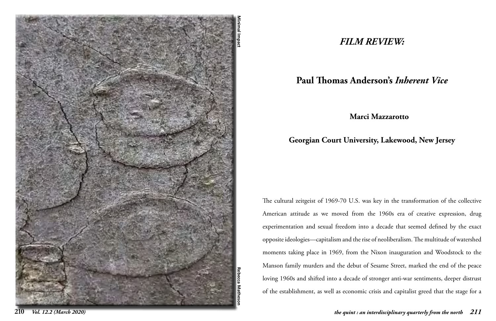

## *FILM REVIEW:*

# **Paul Thomas Anderson's** *Inherent Vice*

### **Marci Mazzarotto**

### **Georgian Court University, Lakewood, New Jersey**

The cultural zeitgeist of 1969-70 U.S. was key in the transformation of the collective American attitude as we moved from the 1960s era of creative expression, drug experimentation and sexual freedom into a decade that seemed defined by the exact opposite ideologies—capitalism and the rise of neoliberalism. The multitude of watershed moments taking place in 1969, from the Nixon inauguration and Woodstock to the Manson family murders and the debut of Sesame Street, marked the end of the peace loving 1960s and shifted into a decade of stronger anti-war sentiments, deeper distrust of the establishment, as well as economic crisis and capitalist greed that the stage for a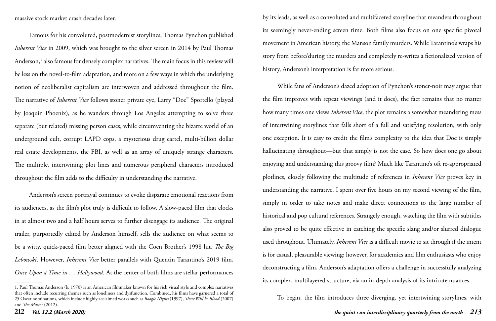massive stock market crash decades later.

Famous for his convoluted, postmodernist storylines, Thomas Pynchon published *Inherent Vice* in 2009, which was brought to the silver screen in 2014 by Paul Thomas Anderson,<sup>1</sup> also famous for densely complex narratives. The main focus in this review will be less on the novel-to-film adaptation, and more on a few ways in which the underlying notion of neoliberalist capitalism are interwoven and addressed throughout the film. The narrative of *Inherent Vice* follows stoner private eye, Larry "Doc" Sportello (played by Joaquin Phoenix), as he wanders through Los Angeles attempting to solve three separate (but related) missing person cases, while circumventing the bizarre world of an underground cult, corrupt LAPD cops, a mysterious drug cartel, multi-billion dollar real estate developments, the FBI, as well as an array of uniquely strange characters. The multiple, intertwining plot lines and numerous peripheral characters introduced throughout the film adds to the difficulty in understanding the narrative.

Anderson's screen portrayal continues to evoke disparate emotional reactions from its audiences, as the film's plot truly is difficult to follow. A slow-paced film that clocks in at almost two and a half hours serves to further disengage its audience. The original trailer, purportedly edited by Anderson himself, sells the audience on what seems to be a witty, quick-paced film better aligned with the Coen Brother's 1998 hit, *The Big Lebowski*. However, *Inherent Vice* better parallels with Quentin Tarantino's 2019 film, *Once Upon a Time in … Hollywood*. At the center of both films are stellar performances

**212** *Vol. 12.2 (March 2020) the quint : an interdisciplinary quarterly from the north 213* To begin, the film introduces three diverging, yet intertwining storylines, with

by its leads, as well as a convoluted and multifaceted storyline that meanders throughout its seemingly never-ending screen time. Both films also focus on one specific pivotal movement in American history, the Manson family murders. While Tarantino's wraps his story from before/during the murders and completely re-writes a fictionalized version of history, Anderson's interpretation is far more serious.

While fans of Anderson's dazed adoption of Pynchon's stoner-noir may argue that the film improves with repeat viewings (and it does), the fact remains that no matter how many times one views *Inherent Vice*, the plot remains a somewhat meandering mess of intertwining storylines that falls short of a full and satisfying resolution, with only one exception. It is easy to credit the film's complexity to the idea that Doc is simply hallucinating throughout—but that simply is not the case. So how does one go about enjoying and understanding this groovy film? Much like Tarantino's oft re-appropriated plotlines, closely following the multitude of references in *Inherent Vice* proves key in understanding the narrative. I spent over five hours on my second viewing of the film, simply in order to take notes and make direct connections to the large number of historical and pop cultural references. Strangely enough, watching the film with subtitles also proved to be quite effective in catching the specific slang and/or slurred dialogue used throughout. Ultimately, *Inherent Vice* is a difficult movie to sit through if the intent is for casual, pleasurable viewing; however, for academics and film enthusiasts who enjoy deconstructing a film, Anderson's adaptation offers a challenge in successfully analyzing its complex, multilayered structure, via an in-depth analysis of its intricate nuances.

<sup>1.</sup> Paul Thomas Anderson (b. 1970) is an American filmmaker known for his rich visual style and complex narratives that often include recurring themes such as loneliness and dysfunction. Combined, his films have garnered a total of 25 Oscar nominations, which include highly acclaimed works such as *Boogie Nights* (1997), *There Will be Blood* (2007) and *The Master* (2012).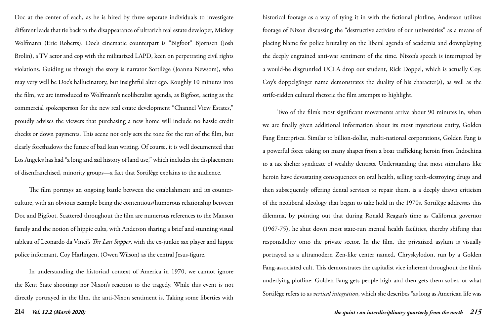### **214** *Vol. 12.2 (March 2020) the quint : an interdisciplinary quarterly from the north 215*

Doc at the center of each, as he is hired by three separate individuals to investigate different leads that tie back to the disappearance of ultrarich real estate developer, Mickey Wolfmann (Eric Roberts). Doc's cinematic counterpart is "Bigfoot" Bjornsen (Josh Brolin), a TV actor and cop with the militarized LAPD, keen on perpetrating civil rights violations. Guiding us through the story is narrator Sortilège (Joanna Newsom), who may very well be Doc's hallucinatory, but insightful alter ego. Roughly 10 minutes into the film, we are introduced to Wolfmann's neoliberalist agenda, as Bigfoot, acting as the commercial spokesperson for the new real estate development "Channel View Estates," proudly advises the viewers that purchasing a new home will include no hassle credit checks or down payments. This scene not only sets the tone for the rest of the film, but clearly foreshadows the future of bad loan writing. Of course, it is well documented that Los Angeles has had "a long and sad history of land use," which includes the displacement of disenfranchised, minority groups—a fact that Sortilège explains to the audience.

The film portrays an ongoing battle between the establishment and its counterculture, with an obvious example being the contentious/humorous relationship between Doc and Bigfoot. Scattered throughout the film are numerous references to the Manson family and the notion of hippie cults, with Anderson sharing a brief and stunning visual tableau of Leonardo da Vinci's *The Last Supper*, with the ex-junkie sax player and hippie police informant, Coy Harlingen, (Owen Wilson) as the central Jesus-figure.

In understanding the historical context of America in 1970, we cannot ignore the Kent State shootings nor Nixon's reaction to the tragedy. While this event is not directly portrayed in the film, the anti-Nixon sentiment is. Taking some liberties with

historical footage as a way of tying it in with the fictional plotline, Anderson utilizes footage of Nixon discussing the "destructive activists of our universities" as a means of placing blame for police brutality on the liberal agenda of academia and downplaying the deeply engrained anti-war sentiment of the time. Nixon's speech is interrupted by a would-be disgruntled UCLA drop out student, Rick Doppel, which is actually Coy. Coy's doppelgänger name demonstrates the duality of his character(s), as well as the strife-ridden cultural rhetoric the film attempts to highlight.

Two of the film's most significant movements arrive about 90 minutes in, when we are finally given additional information about its most mysterious entity, Golden Fang Enterprises. Similar to billion-dollar, multi-national corporations, Golden Fang is a powerful force taking on many shapes from a boat trafficking heroin from Indochina to a tax shelter syndicate of wealthy dentists. Understanding that most stimulants like heroin have devastating consequences on oral health, selling teeth-destroying drugs and then subsequently offering dental services to repair them, is a deeply drawn criticism of the neoliberal ideology that began to take hold in the 1970s. Sortilège addresses this dilemma, by pointing out that during Ronald Reagan's time as California governor (1967-75), he shut down most state-run mental health facilities, thereby shifting that responsibility onto the private sector. In the film, the privatized asylum is visually portrayed as a ultramodern Zen-like center named, Chryskylodon, run by a Golden Fang-associated cult. This demonstrates the capitalist vice inherent throughout the film's underlying plotline: Golden Fang gets people high and then gets them sober, or what Sortilège refers to as *vertical integration*, which she describes "as long as American life was